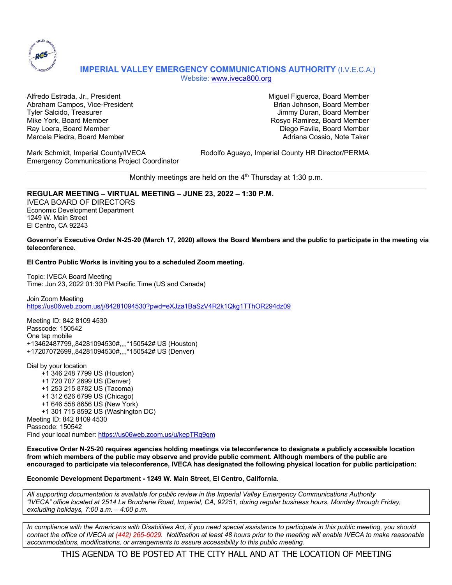

# **IMPERIAL VALLEY EMERGENCY COMMUNICATIONS AUTHORITY** (I.V.E.C.A.) Website: www.iveca800.org

Alfredo Estrada, Jr., President Miguel Figueroa, Board Member Abraham Campos, Vice-President Brian Johnson, Board Member Brian Johnson, Board Member Tyler Salcido, Treasurer Jimmy Duran, Board Member Mike York, Board Member Rosyo Ramirez, Board Member Ray Loera, Board Member Diego Favila, Board Member Marcela Piedra, Board Member **Adriana Cossio, Note Taker** Adriana Cossio, Note Taker

Emergency Communications Project Coordinator

Mark Schmidt, Imperial County/IVECA Rodolfo Aguayo, Imperial County HR Director/PERMA

Monthly meetings are held on the  $4<sup>th</sup>$  Thursday at 1:30 p.m.

## **REGULAR MEETING – VIRTUAL MEETING – JUNE 23, 2022 – 1:30 P.M.**

IVECA BOARD OF DIRECTORS Economic Development Department 1249 W. Main Street El Centro, CA 92243

#### **Governor's Executive Order N-25-20 (March 17, 2020) allows the Board Members and the public to participate in the meeting via teleconference.**

## **El Centro Public Works is inviting you to a scheduled Zoom meeting.**

Topic: IVECA Board Meeting Time: Jun 23, 2022 01:30 PM Pacific Time (US and Canada)

Join Zoom Meeting https://us06web.zoom.us/j/84281094530?pwd=eXJza1BaSzV4R2k1Qkg1TThOR294dz09

Meeting ID: 842 8109 4530 Passcode: 150542 One tap mobile +13462487799,,84281094530#,,,,\*150542# US (Houston) +17207072699,,84281094530#,,,,\*150542# US (Denver)

Dial by your location +1 346 248 7799 US (Houston) +1 720 707 2699 US (Denver) +1 253 215 8782 US (Tacoma) +1 312 626 6799 US (Chicago) +1 646 558 8656 US (New York) +1 301 715 8592 US (Washington DC) Meeting ID: 842 8109 4530 Passcode: 150542 Find your local number: https://us06web.zoom.us/u/kepTRq9qm

**Executive Order N-25-20 requires agencies holding meetings via teleconference to designate a publicly accessible location from which members of the public may observe and provide public comment. Although members of the public are encouraged to participate via teleconference, IVECA has designated the following physical location for public participation:**

#### **Economic Development Department - 1249 W. Main Street, El Centro, California.**

*All supporting documentation is available for public review in the Imperial Valley Emergency Communications Authority "IVECA" office located at 2514 La Brucherie Road, Imperial, CA, 92251, during regular business hours, Monday through Friday, excluding holidays, 7:00 a.m. – 4:00 p.m.*

*In compliance with the Americans with Disabilities Act, if you need special assistance to participate in this public meeting, you should contact the office of IVECA at (442) 265-6029. Notification at least 48 hours prior to the meeting will enable IVECA to make reasonable accommodations, modifications, or arrangements to assure accessibility to this public meeting.*

THIS AGENDA TO BE POSTED AT THE CITY HALL AND AT THE LOCATION OF MEETING